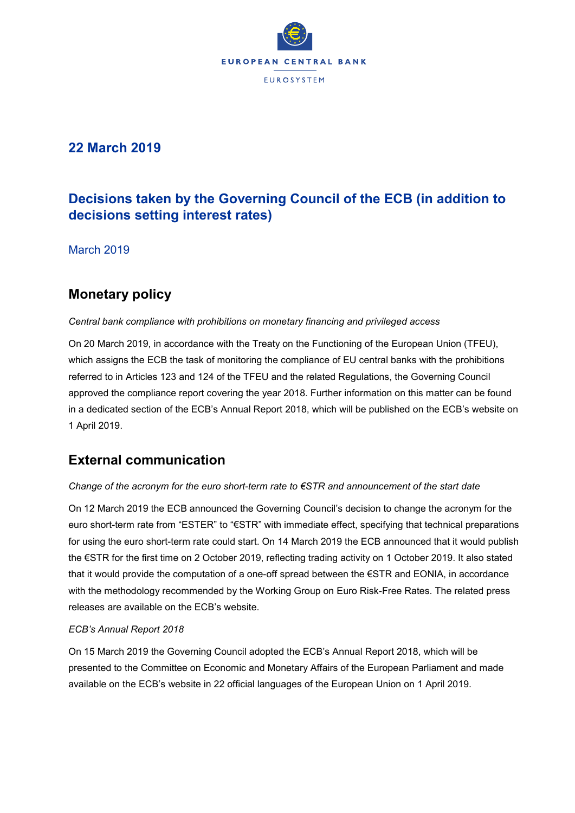

# **22 March 2019**

# **Decisions taken by the Governing Council of the ECB (in addition to decisions setting interest rates)**

March 2019

# **Monetary policy**

#### *Central bank compliance with prohibitions on monetary financing and privileged access*

On 20 March 2019, in accordance with the Treaty on the Functioning of the European Union (TFEU), which assigns the ECB the task of monitoring the compliance of EU central banks with the prohibitions referred to in Articles 123 and 124 of the TFEU and the related Regulations, the Governing Council approved the compliance report covering the year 2018. Further information on this matter can be found in a dedicated section of the ECB's Annual Report 2018, which will be published on the ECB's website on 1 April 2019.

## **External communication**

## *Change of the acronym for the euro short-term rate to €STR and announcement of the start date*

On 12 March 2019 the ECB announced the Governing Council's decision to change the acronym for the euro short-term rate from "ESTER" to "€STR" with immediate effect, specifying that technical preparations for using the euro short-term rate could start. On 14 March 2019 the ECB announced that it would publish the €STR for the first time on 2 October 2019, reflecting trading activity on 1 October 2019. It also stated that it would provide the computation of a one-off spread between the €STR and EONIA, in accordance with the methodology recommended by the Working Group on Euro Risk-Free Rates. The related press releases are available on the ECB's website.

## *ECB's Annual Report 2018*

On 15 March 2019 the Governing Council adopted the ECB's Annual Report 2018, which will be presented to the Committee on Economic and Monetary Affairs of the European Parliament and made available on the ECB's website in 22 official languages of the European Union on 1 April 2019.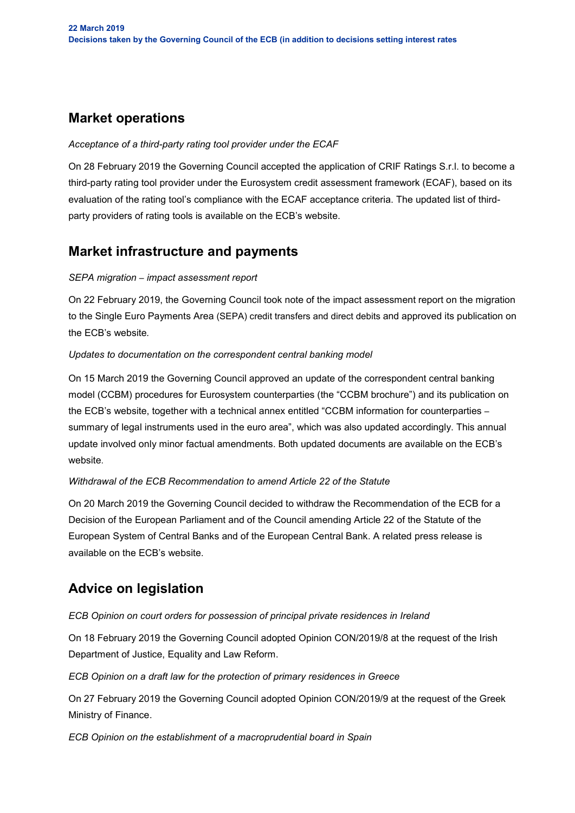# **Market operations**

#### *Acceptance of a third-party rating tool provider under the ECAF*

On 28 February 2019 the Governing Council accepted the application of CRIF Ratings S.r.l. to become a third-party rating tool provider under the Eurosystem credit assessment framework (ECAF), based on its evaluation of the rating tool's compliance with the ECAF acceptance criteria. The updated list of thirdparty providers of rating tools is available on the ECB's website.

## **Market infrastructure and payments**

#### *SEPA migration* – *impact assessment report*

On 22 February 2019, the Governing Council took note of the impact assessment report on the migration to the Single Euro Payments Area (SEPA) credit transfers and direct debits and approved its publication on the ECB's website*.*

## *Updates to documentation on the correspondent central banking model*

On 15 March 2019 the Governing Council approved an update of the correspondent central banking model (CCBM) procedures for Eurosystem counterparties (the "CCBM brochure") and its publication on the ECB's website, together with a technical annex entitled "CCBM information for counterparties – summary of legal instruments used in the euro area", which was also updated accordingly. This annual update involved only minor factual amendments. Both updated documents are available on the ECB's website.

## *Withdrawal of the ECB Recommendation to amend Article 22 of the Statute*

On 20 March 2019 the Governing Council decided to withdraw the Recommendation of the ECB for a Decision of the European Parliament and of the Council amending Article 22 of the Statute of the European System of Central Banks and of the European Central Bank. A related press release is available on the ECB's website.

## **Advice on legislation**

*ECB Opinion on court orders for possession of principal private residences in Ireland*

On 18 February 2019 the Governing Council adopted Opinion CON/2019/8 at the request of the Irish Department of Justice, Equality and Law Reform.

*ECB Opinion on a draft law for the protection of primary residences in Greece* 

On 27 February 2019 the Governing Council adopted Opinion CON/2019/9 at the request of the Greek Ministry of Finance.

*ECB Opinion on the establishment of a macroprudential board in Spain*